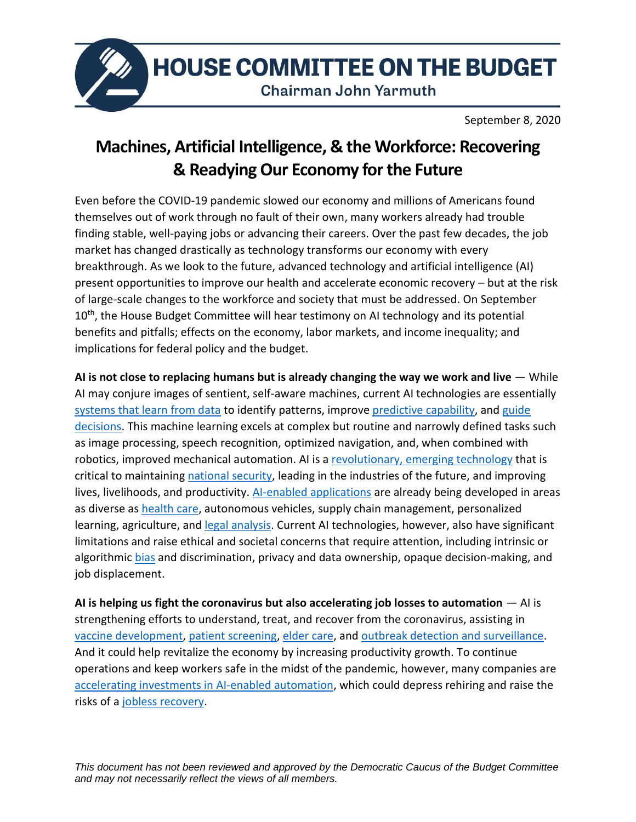

**HOUSE COMMITTEE ON THE BUDGET** 

**Chairman John Yarmuth** 

September 8, 2020

## **Machines, Artificial Intelligence, & the Workforce: Recovering & Readying Our Economy for the Future**

Even before the COVID-19 pandemic slowed our economy and millions of Americans found themselves out of work through no fault of their own, many workers already had trouble finding stable, well-paying jobs or advancing their careers. Over the past few decades, the job market has changed drastically as technology transforms our economy with every breakthrough. As we look to the future, advanced technology and artificial intelligence (AI) present opportunities to improve our health and accelerate economic recovery – but at the risk of large-scale changes to the workforce and society that must be addressed. On September 10<sup>th</sup>, the House Budget Committee will hear testimony on AI technology and its potential benefits and pitfalls; effects on the economy, labor markets, and income inequality; and implications for federal policy and the budget.

**AI is not close to replacing humans but is already changing the way we work and live** — While AI may conjure images of sentient, self-aware machines, current AI technologies are essentially [systems that learn from data](https://www.nap.edu/download/25021) to identify patterns, improve predictive [capability,](https://www.nber.org/papers/w24243) and guide [decisions.](http://erichorvitz.com/Evidence_based_healthcare_essay.pdf) This machine learning excels at complex but routine and narrowly defined tasks such as image processing, speech recognition, optimized navigation, and, when combined with robotics, improved mechanical automation. AI is a [revolutionary, emerging technology](https://budget.house.gov/publications/report/federal-research-and-development-fuels-our-economic-growth-national-capabilities) that is critical to maintaining [national security,](https://www.brookings.edu/series/ai-and-national-security/) leading in the industries of the future, and improving lives, livelihoods, and productivity. [AI-enabled applications](https://ai100.stanford.edu/sites/g/files/sbiybj9861/f/ai100report10032016fnl_singles.pdf) are already being developed in areas as diverse as [health care,](http://erichorvitz.com/Evidence_based_healthcare_essay.pdf) autonomous vehicles, supply chain management, personalized learning, agriculture, and [legal analysis.](https://siliconflatirons.org/events/artificial-intelligence-the-future-of-employment-and-the-law/) Current AI technologies, however, also have significant limitations and raise ethical and societal concerns that require attention, including intrinsic or algorithmic [bias](https://www.brookings.edu/series/ai-and-bias/) and discrimination, privacy and data ownership, opaque decision-making, and job displacement.

**AI is helping us fight the coronavirus but also accelerating job losses to automation** — AI is strengthening efforts to understand, treat, and recover from the coronavirus, assisting in [vaccine development,](https://www.mckinsey.com/featured-insights/artificial-intelligence/ai-in-healthcare-microsofts-kevin-scott-on-how-tech-can-treat-a-pandemic) [patient screening,](https://bipartisanpolicy.org/blog/in-the-midst-of-the-coronavirus-pandemic-the-case-for-artificial-intelligence/) [elder care,](https://medium.com/syncedreview/fei-fei-li-proposes-ai-assisted-elder-care-solution-at-stanford-hosted-virtual-conference-on-d368321542c9) and [outbreak detection and surveillance.](https://drive.google.com/file/d/153DUHToD4zoM_GXe9MWGNKzend7TsI2o/view) And it could help revitalize the economy by increasing productivity growth. To continue operations and keep workers safe in the midst of the pandemic, however, many companies are [accelerating investments in AI-enabled automation,](https://hai.stanford.edu/blog/how-work-will-change-following-pandemic) which could depress rehiring and raise the risks of [a jobless recovery.](https://www.nber.org/papers/w18334.pdf)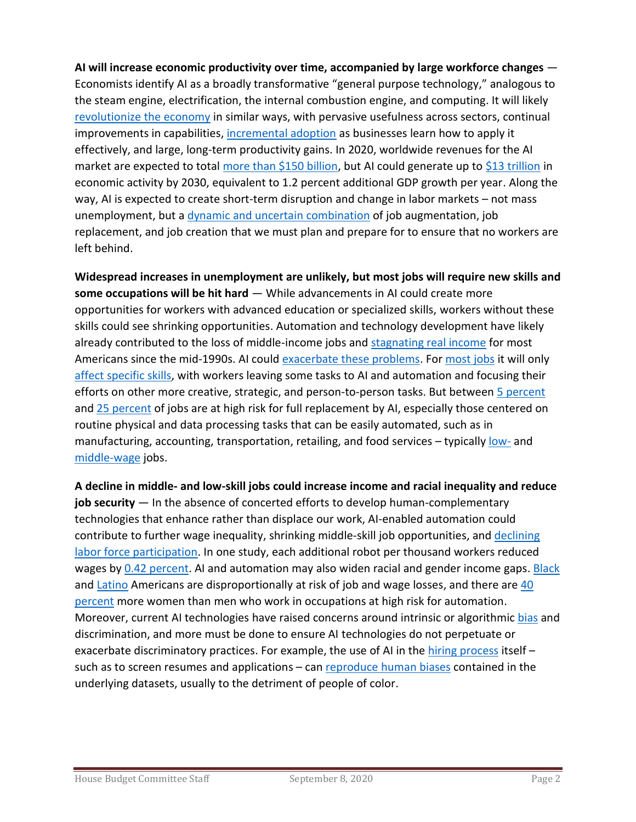**AI will increase economic productivity over time, accompanied by large workforce changes** — Economists identify AI as a broadly transformative "general purpose technology," analogous to the steam engine, electrification, the internal combustion engine, and computing. It will likely revolutionize [the economy](https://obamawhitehouse.archives.gov/sites/default/files/page/files/20160707_cea_ai_furman.pdf) in similar ways, with pervasive usefulness across sectors, continual improvements in capabilities, [incremental adoption](https://www.nber.org/papers/w25148) as businesses learn how to apply it effectively, and large, long-term productivity gains. In 2020, worldwide revenues for the AI market are expected to total [more than \\$150 billion,](https://www.idc.com/getdoc.jsp?containerId=prUS46757920) but AI could generate up to [\\$13 trillion](https://www.mckinsey.com/featured-insights/artificial-intelligence/notes-from-the-AI-frontier-modeling-the-impact-of-ai-on-the-world-economy) in economic activity by 2030, equivalent to 1.2 percent additional GDP growth per year. Along the way, AI is expected to create short-term disruption and change in labor markets – not mass unemployment, but a [dynamic and uncertain combination](https://www.nap.edu/download/25021) of job augmentation, job replacement, and job creation that we must plan and prepare for to ensure that no workers are left behind.

**Widespread increases in unemployment are unlikely, but most jobs will require new skills and some occupations will be hit hard** — While advancements in AI could create more opportunities for workers with advanced education or specialized skills, workers without these skills could see shrinking opportunities. Automation and technology development have likely already contributed to the loss of middle-income jobs and [stagnating real income](https://www.pnas.org/content/116/14/6531) for most Americans since the mid-1990s. AI coul[d exacerbate these problems.](https://www.project-syndicate.org/commentary/ai-automation-labor-productivity-by-daron-acemoglu-and-pascual-restrepo-2019-03) For [most jobs](https://www.aeaweb.org/articles?id=10.1257/pandp.20181019) it will only [affect specific skills,](http://www.cs.cmu.edu/~tom/pubs/Science_WorkforceDec2017.pdf) with workers leaving some tasks to AI and automation and focusing their efforts on other more creative, strategic, and person-to-person tasks. But between [5 percent](https://www.mckinsey.com/featured-insights/artificial-intelligence/the-promise-and-challenge-of-the-age-of-artificial-intelligence) and [25 percent](https://www.brookings.edu/wp-content/uploads/2019/01/2019.01_BrookingsMetro_Automation-AI_Report_Muro-Maxim-Whiton-FINAL-version.pdf) of jobs are at high risk for full replacement by AI, especially those centered on routine physical and data processing tasks that can be easily automated, such as in manufacturing, accounting, transportation, retailing, and food services – typically [low-](https://www.aeaweb.org/articles?id=10.1257/pandp.20181019) and [middle-wage](https://www.mckinsey.com/featured-insights/artificial-intelligence/the-promise-and-challenge-of-the-age-of-artificial-intelligence) jobs.

**A decline in middle- and low-skill jobs could increase income and racial inequality and reduce job security** — In the absence of concerted efforts to develop human-complementary technologies that enhance rather than displace our work, AI-enabled automation could contribute to further wage inequality, shrinking middle-skill job opportunities, and [declining](https://www.bls.gov/emp/tables/civilian-labor-force-participation-rate.htm)  [labor force participation.](https://www.bls.gov/emp/tables/civilian-labor-force-participation-rate.htm) In one study, each additional robot per thousand workers reduced wages by [0.42 percent.](https://economics.mit.edu/files/19696) AI and automation may also widen racial and gender income gaps. [Black](https://www.mckinsey.com/featured-insights/future-of-work/the-future-of-work-in-black-america) and [Latino](https://www.mckinsey.com/about-us/new-at-mckinsey-blog/first-hispanic-and-latino-economic-forum-unites-leaders-on-the-jobs-front) Americans are disproportionally at risk of job and wage losses, and there are [40](https://iwpr.org/iwpr-issues/employment-and-earnings/women-automation-and-the-future-of-work-executive-summary/)  [percent](https://iwpr.org/iwpr-issues/employment-and-earnings/women-automation-and-the-future-of-work-executive-summary/) more women than men who work in occupations at high risk for automation. Moreover, current AI technologies have raised concerns around intrinsic or algorithmic [bias](https://www.brookings.edu/series/ai-and-bias/) and discrimination, and more must be done to ensure AI technologies do not perpetuate or exacerbate discriminatory practices. For example, the use of AI in the [hiring process](https://www.upturn.org/reports/2018/hiring-algorithms/) itself such as to screen resumes and applications – can reproduce [human biases](https://www.brookings.edu/research/challenges-for-mitigating-bias-in-algorithmic-hiring/) contained in the underlying datasets, usually to the detriment of people of color.